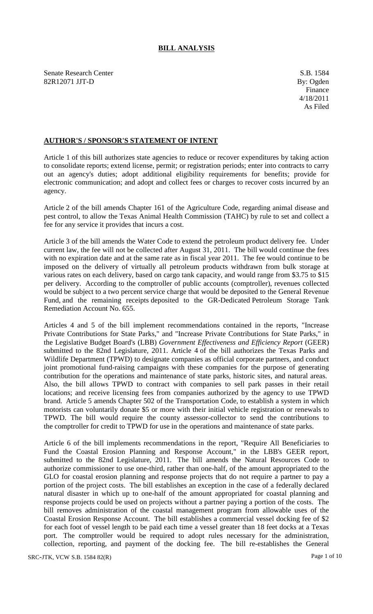## **BILL ANALYSIS**

Senate Research Center S.B. 1584 82R12071 JJT-D By: Ogden

## **AUTHOR'S / SPONSOR'S STATEMENT OF INTENT**

Article 1 of this bill authorizes state agencies to reduce or recover expenditures by taking action to consolidate reports; extend license, permit; or registration periods; enter into contracts to carry out an agency's duties; adopt additional eligibility requirements for benefits; provide for electronic communication; and adopt and collect fees or charges to recover costs incurred by an agency.

Article 2 of the bill amends Chapter 161 of the Agriculture Code, regarding animal disease and pest control, to allow the Texas Animal Health Commission (TAHC) by rule to set and collect a fee for any service it provides that incurs a cost.

Article 3 of the bill amends the Water Code to extend the petroleum product delivery fee. Under current law, the fee will not be collected after August 31, 2011. The bill would continue the fees with no expiration date and at the same rate as in fiscal year 2011. The fee would continue to be imposed on the delivery of virtually all petroleum products withdrawn from bulk storage at various rates on each delivery, based on cargo tank capacity, and would range from \$3.75 to \$15 per delivery. According to the comptroller of public accounts (comptroller), revenues collected would be subject to a two percent service charge that would be deposited to the General Revenue Fund, and the remaining receipts deposited to the GR-Dedicated Petroleum Storage Tank Remediation Account No. 655.

Articles 4 and 5 of the bill implement recommendations contained in the reports, "Increase Private Contributions for State Parks," and "Increase Private Contributions for State Parks," in the Legislative Budget Board's (LBB) *Government Effectiveness and Efficiency Report* (GEER) submitted to the 82nd Legislature, 2011. Article 4 of the bill authorizes the Texas Parks and Wildlife Department (TPWD) to designate companies as official corporate partners, and conduct joint promotional fund-raising campaigns with these companies for the purpose of generating contribution for the operations and maintenance of state parks, historic sites, and natural areas. Also, the bill allows TPWD to contract with companies to sell park passes in their retail locations; and receive licensing fees from companies authorized by the agency to use TPWD brand. Article 5 amends Chapter 502 of the Transportation Code, to establish a system in which motorists can voluntarily donate \$5 or more with their initial vehicle registration or renewals to TPWD. The bill would require the county assessor-collector to send the contributions to the comptroller for credit to TPWD for use in the operations and maintenance of state parks.

Article 6 of the bill implements recommendations in the report, "Require All Beneficiaries to Fund the Coastal Erosion Planning and Response Account," in the LBB's GEER report, submitted to the 82nd Legislature, 2011. The bill amends the Natural Resources Code to authorize commissioner to use one-third, rather than one-half, of the amount appropriated to the GLO for coastal erosion planning and response projects that do not require a partner to pay a portion of the project costs. The bill establishes an exception in the case of a federally declared natural disaster in which up to one-half of the amount appropriated for coastal planning and response projects could be used on projects without a partner paying a portion of the costs. The bill removes administration of the coastal management program from allowable uses of the Coastal Erosion Response Account. The bill establishes a commercial vessel docking fee of \$2 for each foot of vessel length to be paid each time a vessel greater than 18 feet docks at a Texas port. The comptroller would be required to adopt rules necessary for the administration, collection, reporting, and payment of the docking fee. The bill re-establishes the General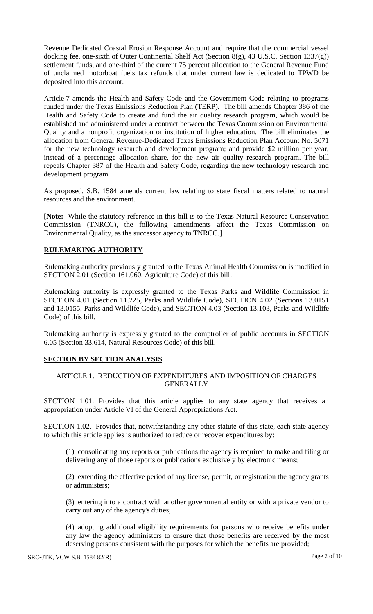Revenue Dedicated Coastal Erosion Response Account and require that the commercial vessel docking fee, one-sixth of Outer Continental Shelf Act (Section 8(g), 43 U.S.C. Section 1337(g)) settlement funds, and one-third of the current 75 percent allocation to the General Revenue Fund of unclaimed motorboat fuels tax refunds that under current law is dedicated to TPWD be deposited into this account.

Article 7 amends the Health and Safety Code and the Government Code relating to programs funded under the Texas Emissions Reduction Plan (TERP). The bill amends Chapter 386 of the Health and Safety Code to create and fund the air quality research program, which would be established and administered under a contract between the Texas Commission on Environmental Quality and a nonprofit organization or institution of higher education. The bill eliminates the allocation from General Revenue-Dedicated Texas Emissions Reduction Plan Account No. 5071 for the new technology research and development program; and provide \$2 million per year, instead of a percentage allocation share, for the new air quality research program. The bill repeals Chapter 387 of the Health and Safety Code, regarding the new technology research and development program.

As proposed, S.B. 1584 amends current law relating to state fiscal matters related to natural resources and the environment.

[**Note:** While the statutory reference in this bill is to the Texas Natural Resource Conservation Commission (TNRCC), the following amendments affect the Texas Commission on Environmental Quality, as the successor agency to TNRCC.]

# **RULEMAKING AUTHORITY**

Rulemaking authority previously granted to the Texas Animal Health Commission is modified in SECTION 2.01 (Section 161.060, Agriculture Code) of this bill.

Rulemaking authority is expressly granted to the Texas Parks and Wildlife Commission in SECTION 4.01 (Section 11.225, Parks and Wildlife Code), SECTION 4.02 (Sections 13.0151 and 13.0155, Parks and Wildlife Code), and SECTION 4.03 (Section 13.103, Parks and Wildlife Code) of this bill.

Rulemaking authority is expressly granted to the comptroller of public accounts in SECTION 6.05 (Section 33.614, Natural Resources Code) of this bill.

## **SECTION BY SECTION ANALYSIS**

## ARTICLE 1. REDUCTION OF EXPENDITURES AND IMPOSITION OF CHARGES GENERALLY

SECTION 1.01. Provides that this article applies to any state agency that receives an appropriation under Article VI of the General Appropriations Act.

SECTION 1.02. Provides that, notwithstanding any other statute of this state, each state agency to which this article applies is authorized to reduce or recover expenditures by:

(1) consolidating any reports or publications the agency is required to make and filing or delivering any of those reports or publications exclusively by electronic means;

(2) extending the effective period of any license, permit, or registration the agency grants or administers;

(3) entering into a contract with another governmental entity or with a private vendor to carry out any of the agency's duties;

(4) adopting additional eligibility requirements for persons who receive benefits under any law the agency administers to ensure that those benefits are received by the most deserving persons consistent with the purposes for which the benefits are provided;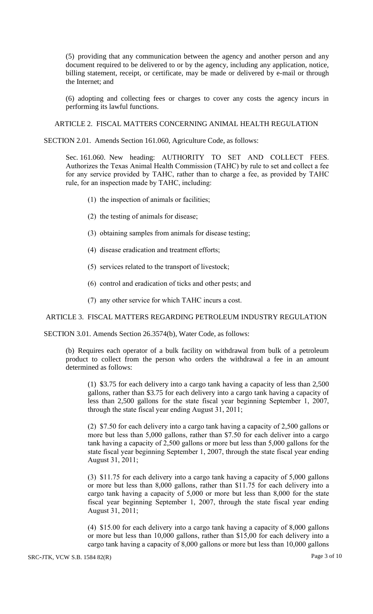(5) providing that any communication between the agency and another person and any document required to be delivered to or by the agency, including any application, notice, billing statement, receipt, or certificate, may be made or delivered by e-mail or through the Internet; and

(6) adopting and collecting fees or charges to cover any costs the agency incurs in performing its lawful functions.

ARTICLE 2. FISCAL MATTERS CONCERNING ANIMAL HEALTH REGULATION

SECTION 2.01. Amends Section 161.060, Agriculture Code, as follows:

Sec. 161.060. New heading: AUTHORITY TO SET AND COLLECT FEES. Authorizes the Texas Animal Health Commission (TAHC) by rule to set and collect a fee for any service provided by TAHC, rather than to charge a fee, as provided by TAHC rule, for an inspection made by TAHC, including:

- (1) the inspection of animals or facilities;
- (2) the testing of animals for disease;
- (3) obtaining samples from animals for disease testing;
- (4) disease eradication and treatment efforts;
- (5) services related to the transport of livestock;
- (6) control and eradication of ticks and other pests; and
- (7) any other service for which TAHC incurs a cost.

#### ARTICLE 3. FISCAL MATTERS REGARDING PETROLEUM INDUSTRY REGULATION

SECTION 3.01. Amends Section 26.3574(b), Water Code, as follows:

(b) Requires each operator of a bulk facility on withdrawal from bulk of a petroleum product to collect from the person who orders the withdrawal a fee in an amount determined as follows:

(1) \$3.75 for each delivery into a cargo tank having a capacity of less than 2,500 gallons, rather than \$3.75 for each delivery into a cargo tank having a capacity of less than 2,500 gallons for the state fiscal year beginning September 1, 2007, through the state fiscal year ending August 31, 2011;

(2) \$7.50 for each delivery into a cargo tank having a capacity of 2,500 gallons or more but less than 5,000 gallons, rather than \$7.50 for each deliver into a cargo tank having a capacity of  $2,500$  gallons or more but less than 5,000 gallons for the state fiscal year beginning September 1, 2007, through the state fiscal year ending August 31, 2011;

(3) \$11.75 for each delivery into a cargo tank having a capacity of 5,000 gallons or more but less than 8,000 gallons, rather than \$11.75 for each delivery into a cargo tank having a capacity of 5,000 or more but less than 8,000 for the state fiscal year beginning September 1, 2007, through the state fiscal year ending August 31, 2011;

(4) \$15.00 for each delivery into a cargo tank having a capacity of 8,000 gallons or more but less than 10,000 gallons, rather than \$15,00 for each delivery into a cargo tank having a capacity of 8,000 gallons or more but less than 10,000 gallons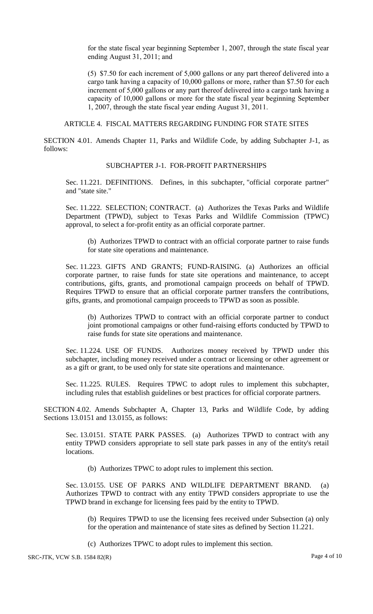for the state fiscal year beginning September 1, 2007, through the state fiscal year ending August 31, 2011; and

(5) \$7.50 for each increment of 5,000 gallons or any part thereof delivered into a cargo tank having a capacity of 10,000 gallons or more, rather than \$7.50 for each increment of 5,000 gallons or any part thereof delivered into a cargo tank having a capacity of 10,000 gallons or more for the state fiscal year beginning September 1, 2007, through the state fiscal year ending August 31, 2011.

ARTICLE 4. FISCAL MATTERS REGARDING FUNDING FOR STATE SITES

SECTION 4.01. Amends Chapter 11, Parks and Wildlife Code, by adding Subchapter J-1, as follows:

#### SUBCHAPTER J-1. FOR-PROFIT PARTNERSHIPS

Sec. 11.221. DEFINITIONS. Defines, in this subchapter, "official corporate partner" and "state site."

Sec. 11.222. SELECTION; CONTRACT. (a) Authorizes the Texas Parks and Wildlife Department (TPWD), subject to Texas Parks and Wildlife Commission (TPWC) approval, to select a for-profit entity as an official corporate partner.

(b) Authorizes TPWD to contract with an official corporate partner to raise funds for state site operations and maintenance.

Sec. 11.223. GIFTS AND GRANTS; FUND-RAISING. (a) Authorizes an official corporate partner, to raise funds for state site operations and maintenance, to accept contributions, gifts, grants, and promotional campaign proceeds on behalf of TPWD. Requires TPWD to ensure that an official corporate partner transfers the contributions, gifts, grants, and promotional campaign proceeds to TPWD as soon as possible.

(b) Authorizes TPWD to contract with an official corporate partner to conduct joint promotional campaigns or other fund-raising efforts conducted by TPWD to raise funds for state site operations and maintenance.

Sec. 11.224. USE OF FUNDS. Authorizes money received by TPWD under this subchapter, including money received under a contract or licensing or other agreement or as a gift or grant, to be used only for state site operations and maintenance.

Sec. 11.225. RULES. Requires TPWC to adopt rules to implement this subchapter, including rules that establish guidelines or best practices for official corporate partners.

SECTION 4.02. Amends Subchapter A, Chapter 13, Parks and Wildlife Code, by adding Sections 13.0151 and 13.0155, as follows:

Sec. 13.0151. STATE PARK PASSES. (a) Authorizes TPWD to contract with any entity TPWD considers appropriate to sell state park passes in any of the entity's retail locations.

(b) Authorizes TPWC to adopt rules to implement this section.

Sec. 13.0155. USE OF PARKS AND WILDLIFE DEPARTMENT BRAND. (a) Authorizes TPWD to contract with any entity TPWD considers appropriate to use the TPWD brand in exchange for licensing fees paid by the entity to TPWD.

(b) Requires TPWD to use the licensing fees received under Subsection (a) only for the operation and maintenance of state sites as defined by Section 11.221.

(c) Authorizes TPWC to adopt rules to implement this section.

SRC-JTK, VCW S.B. 1584 82(R) Page 4 of 10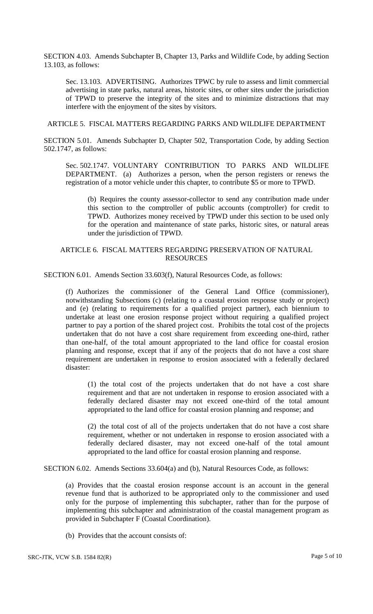SECTION 4.03. Amends Subchapter B, Chapter 13, Parks and Wildlife Code, by adding Section 13.103, as follows:

Sec. 13.103. ADVERTISING. Authorizes TPWC by rule to assess and limit commercial advertising in state parks, natural areas, historic sites, or other sites under the jurisdiction of TPWD to preserve the integrity of the sites and to minimize distractions that may interfere with the enjoyment of the sites by visitors.

## ARTICLE 5. FISCAL MATTERS REGARDING PARKS AND WILDLIFE DEPARTMENT

SECTION 5.01. Amends Subchapter D, Chapter 502, Transportation Code, by adding Section 502.1747, as follows:

Sec. 502.1747. VOLUNTARY CONTRIBUTION TO PARKS AND WILDLIFE DEPARTMENT. (a) Authorizes a person, when the person registers or renews the registration of a motor vehicle under this chapter, to contribute \$5 or more to TPWD.

(b) Requires the county assessor-collector to send any contribution made under this section to the comptroller of public accounts (comptroller) for credit to TPWD. Authorizes money received by TPWD under this section to be used only for the operation and maintenance of state parks, historic sites, or natural areas under the jurisdiction of TPWD.

## ARTICLE 6. FISCAL MATTERS REGARDING PRESERVATION OF NATURAL RESOURCES

SECTION 6.01. Amends Section 33.603(f), Natural Resources Code, as follows:

(f) Authorizes the commissioner of the General Land Office (commissioner), notwithstanding Subsections (c) (relating to a coastal erosion response study or project) and (e) (relating to requirements for a qualified project partner), each biennium to undertake at least one erosion response project without requiring a qualified project partner to pay a portion of the shared project cost. Prohibits the total cost of the projects undertaken that do not have a cost share requirement from exceeding one-third, rather than one-half, of the total amount appropriated to the land office for coastal erosion planning and response, except that if any of the projects that do not have a cost share requirement are undertaken in response to erosion associated with a federally declared disaster:

(1) the total cost of the projects undertaken that do not have a cost share requirement and that are not undertaken in response to erosion associated with a federally declared disaster may not exceed one-third of the total amount appropriated to the land office for coastal erosion planning and response; and

(2) the total cost of all of the projects undertaken that do not have a cost share requirement, whether or not undertaken in response to erosion associated with a federally declared disaster, may not exceed one-half of the total amount appropriated to the land office for coastal erosion planning and response.

SECTION 6.02. Amends Sections 33.604(a) and (b), Natural Resources Code, as follows:

(a) Provides that the coastal erosion response account is an account in the general revenue fund that is authorized to be appropriated only to the commissioner and used only for the purpose of implementing this subchapter, rather than for the purpose of implementing this subchapter and administration of the coastal management program as provided in Subchapter F (Coastal Coordination).

(b) Provides that the account consists of: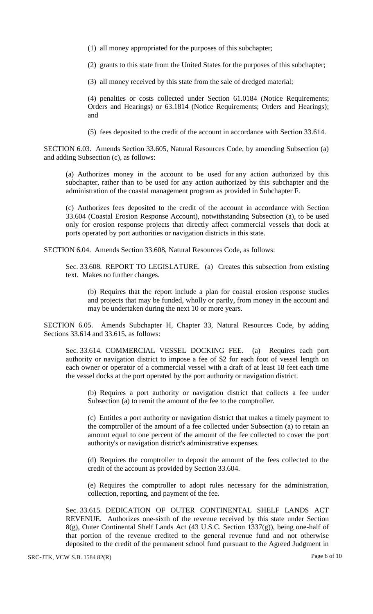(1) all money appropriated for the purposes of this subchapter;

(2) grants to this state from the United States for the purposes of this subchapter;

(3) all money received by this state from the sale of dredged material;

(4) penalties or costs collected under Section 61.0184 (Notice Requirements; Orders and Hearings) or 63.1814 (Notice Requirements; Orders and Hearings); and

(5) fees deposited to the credit of the account in accordance with Section 33.614.

SECTION 6.03. Amends Section 33.605, Natural Resources Code, by amending Subsection (a) and adding Subsection (c), as follows:

(a) Authorizes money in the account to be used for any action authorized by this subchapter, rather than to be used for any action authorized by this subchapter and the administration of the coastal management program as provided in Subchapter F.

(c) Authorizes fees deposited to the credit of the account in accordance with Section 33.604 (Coastal Erosion Response Account), notwithstanding Subsection (a), to be used only for erosion response projects that directly affect commercial vessels that dock at ports operated by port authorities or navigation districts in this state.

SECTION 6.04. Amends Section 33.608, Natural Resources Code, as follows:

Sec. 33.608. REPORT TO LEGISLATURE. (a) Creates this subsection from existing text. Makes no further changes.

(b) Requires that the report include a plan for coastal erosion response studies and projects that may be funded, wholly or partly, from money in the account and may be undertaken during the next 10 or more years.

SECTION 6.05. Amends Subchapter H, Chapter 33, Natural Resources Code, by adding Sections 33.614 and 33.615, as follows:

Sec. 33.614. COMMERCIAL VESSEL DOCKING FEE. (a) Requires each port authority or navigation district to impose a fee of \$2 for each foot of vessel length on each owner or operator of a commercial vessel with a draft of at least 18 feet each time the vessel docks at the port operated by the port authority or navigation district.

(b) Requires a port authority or navigation district that collects a fee under Subsection (a) to remit the amount of the fee to the comptroller.

(c) Entitles a port authority or navigation district that makes a timely payment to the comptroller of the amount of a fee collected under Subsection (a) to retain an amount equal to one percent of the amount of the fee collected to cover the port authority's or navigation district's administrative expenses.

(d) Requires the comptroller to deposit the amount of the fees collected to the credit of the account as provided by Section 33.604.

(e) Requires the comptroller to adopt rules necessary for the administration, collection, reporting, and payment of the fee.

Sec. 33.615. DEDICATION OF OUTER CONTINENTAL SHELF LANDS ACT REVENUE. Authorizes one-sixth of the revenue received by this state under Section 8(g), Outer Continental Shelf Lands Act (43 U.S.C. Section 1337(g)), being one-half of that portion of the revenue credited to the general revenue fund and not otherwise deposited to the credit of the permanent school fund pursuant to the Agreed Judgment in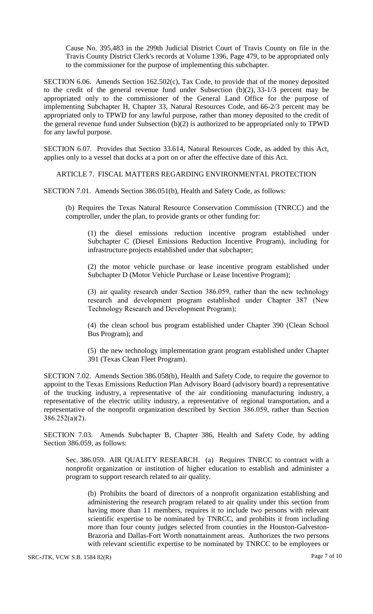Cause No. 395,483 in the 299th Judicial District Court of Travis County on file in the Travis County District Clerk's records at Volume 1396, Page 479, to be appropriated only to the commissioner for the purpose of implementing this subchapter.

SECTION 6.06. Amends Section 162.502(c), Tax Code, to provide that of the money deposited to the credit of the general revenue fund under Subsection  $(b)(2)$ , 33-1/3 percent may be appropriated only to the commissioner of the General Land Office for the purpose of implementing Subchapter H, Chapter 33, Natural Resources Code, and 66-2/3 percent may be appropriated only to TPWD for any lawful purpose, rather than money deposited to the credit of the general revenue fund under Subsection (b)(2) is authorized to be appropriated only to TPWD for any lawful purpose.

SECTION 6.07. Provides that Section 33.614, Natural Resources Code, as added by this Act, applies only to a vessel that docks at a port on or after the effective date of this Act.

ARTICLE 7. FISCAL MATTERS REGARDING ENVIRONMENTAL PROTECTION

SECTION 7.01. Amends Section 386.051(b), Health and Safety Code, as follows:

(b) Requires the Texas Natural Resource Conservation Commission (TNRCC) and the comptroller, under the plan, to provide grants or other funding for:

(1) the diesel emissions reduction incentive program established under Subchapter C (Diesel Emissions Reduction Incentive Program), including for infrastructure projects established under that subchapter;

(2) the motor vehicle purchase or lease incentive program established under Subchapter D (Motor Vehicle Purchase or Lease Incentive Program);

(3) air quality research under Section 386.059, rather than the new technology research and development program established under Chapter 387 (New Technology Research and Development Program);

(4) the clean school bus program established under Chapter 390 (Clean School Bus Program); and

(5) the new technology implementation grant program established under Chapter 391 (Texas Clean Fleet Program).

SECTION 7.02. Amends Section 386.058(b), Health and Safety Code, to require the governor to appoint to the Texas Emissions Reduction Plan Advisory Board (advisory board) a representative of the trucking industry, a representative of the air conditioning manufacturing industry, a representative of the electric utility industry, a representative of regional transportation, and a representative of the nonprofit organization described by Section 386.059, rather than Section 386.252(a)(2).

SECTION 7.03. Amends Subchapter B, Chapter 386, Health and Safety Code, by adding Section 386.059, as follows:

Sec. 386.059. AIR QUALITY RESEARCH. (a) Requires TNRCC to contract with a nonprofit organization or institution of higher education to establish and administer a program to support research related to air quality.

(b) Prohibits the board of directors of a nonprofit organization establishing and administering the research program related to air quality under this section from having more than 11 members, requires it to include two persons with relevant scientific expertise to be nominated by TNRCC, and prohibits it from including more than four county judges selected from counties in the Houston-Galveston-Brazoria and Dallas-Fort Worth nonattainment areas. Authorizes the two persons with relevant scientific expertise to be nominated by TNRCC to be employees or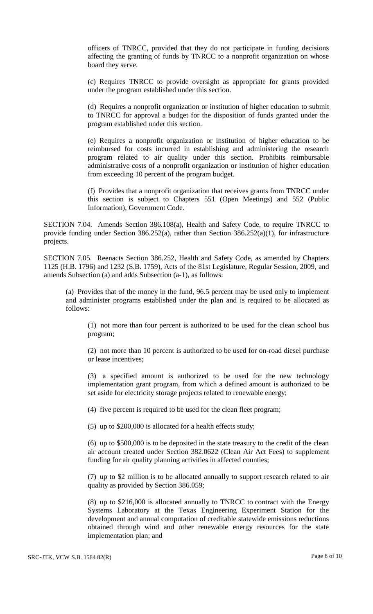officers of TNRCC, provided that they do not participate in funding decisions affecting the granting of funds by TNRCC to a nonprofit organization on whose board they serve.

(c) Requires TNRCC to provide oversight as appropriate for grants provided under the program established under this section.

(d) Requires a nonprofit organization or institution of higher education to submit to TNRCC for approval a budget for the disposition of funds granted under the program established under this section.

(e) Requires a nonprofit organization or institution of higher education to be reimbursed for costs incurred in establishing and administering the research program related to air quality under this section. Prohibits reimbursable administrative costs of a nonprofit organization or institution of higher education from exceeding 10 percent of the program budget.

(f) Provides that a nonprofit organization that receives grants from TNRCC under this section is subject to Chapters 551 (Open Meetings) and 552 (Public Information), Government Code.

SECTION 7.04. Amends Section 386.108(a), Health and Safety Code, to require TNRCC to provide funding under Section 386.252(a), rather than Section 386.252(a)(1), for infrastructure projects.

SECTION 7.05. Reenacts Section 386.252, Health and Safety Code, as amended by Chapters 1125 (H.B. 1796) and 1232 (S.B. 1759), Acts of the 81st Legislature, Regular Session, 2009, and amends Subsection (a) and adds Subsection (a-1), as follows:

(a) Provides that of the money in the fund, 96.5 percent may be used only to implement and administer programs established under the plan and is required to be allocated as follows:

(1) not more than four percent is authorized to be used for the clean school bus program;

(2) not more than 10 percent is authorized to be used for on-road diesel purchase or lease incentives;

(3) a specified amount is authorized to be used for the new technology implementation grant program, from which a defined amount is authorized to be set aside for electricity storage projects related to renewable energy;

(4) five percent is required to be used for the clean fleet program;

(5) up to \$200,000 is allocated for a health effects study;

(6) up to \$500,000 is to be deposited in the state treasury to the credit of the clean air account created under Section 382.0622 (Clean Air Act Fees) to supplement funding for air quality planning activities in affected counties;

(7) up to \$2 million is to be allocated annually to support research related to air quality as provided by Section 386.059;

(8) up to \$216,000 is allocated annually to TNRCC to contract with the Energy Systems Laboratory at the Texas Engineering Experiment Station for the development and annual computation of creditable statewide emissions reductions obtained through wind and other renewable energy resources for the state implementation plan; and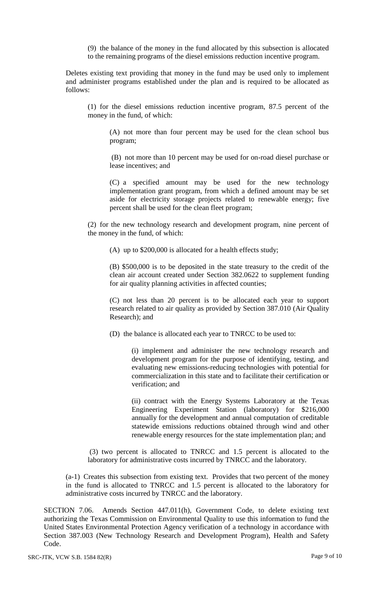(9) the balance of the money in the fund allocated by this subsection is allocated to the remaining programs of the diesel emissions reduction incentive program.

Deletes existing text providing that money in the fund may be used only to implement and administer programs established under the plan and is required to be allocated as follows:

(1) for the diesel emissions reduction incentive program, 87.5 percent of the money in the fund, of which:

(A) not more than four percent may be used for the clean school bus program;

(B) not more than 10 percent may be used for on-road diesel purchase or lease incentives; and

(C) a specified amount may be used for the new technology implementation grant program, from which a defined amount may be set aside for electricity storage projects related to renewable energy; five percent shall be used for the clean fleet program;

(2) for the new technology research and development program, nine percent of the money in the fund, of which:

(A) up to \$200,000 is allocated for a health effects study;

(B) \$500,000 is to be deposited in the state treasury to the credit of the clean air account created under Section 382.0622 to supplement funding for air quality planning activities in affected counties;

(C) not less than 20 percent is to be allocated each year to support research related to air quality as provided by Section 387.010 (Air Quality Research); and

(D) the balance is allocated each year to TNRCC to be used to:

(i) implement and administer the new technology research and development program for the purpose of identifying, testing, and evaluating new emissions-reducing technologies with potential for commercialization in this state and to facilitate their certification or verification; and

(ii) contract with the Energy Systems Laboratory at the Texas Engineering Experiment Station (laboratory) for \$216,000 annually for the development and annual computation of creditable statewide emissions reductions obtained through wind and other renewable energy resources for the state implementation plan; and

(3) two percent is allocated to TNRCC and 1.5 percent is allocated to the laboratory for administrative costs incurred by TNRCC and the laboratory.

(a-1) Creates this subsection from existing text. Provides that two percent of the money in the fund is allocated to TNRCC and 1.5 percent is allocated to the laboratory for administrative costs incurred by TNRCC and the laboratory.

SECTION 7.06. Amends Section 447.011(h), Government Code, to delete existing text authorizing the Texas Commission on Environmental Quality to use this information to fund the United States Environmental Protection Agency verification of a technology in accordance with Section 387.003 (New Technology Research and Development Program), Health and Safety Code.

SRC-JTK, VCW S.B. 1584 82(R) Page 9 of 10